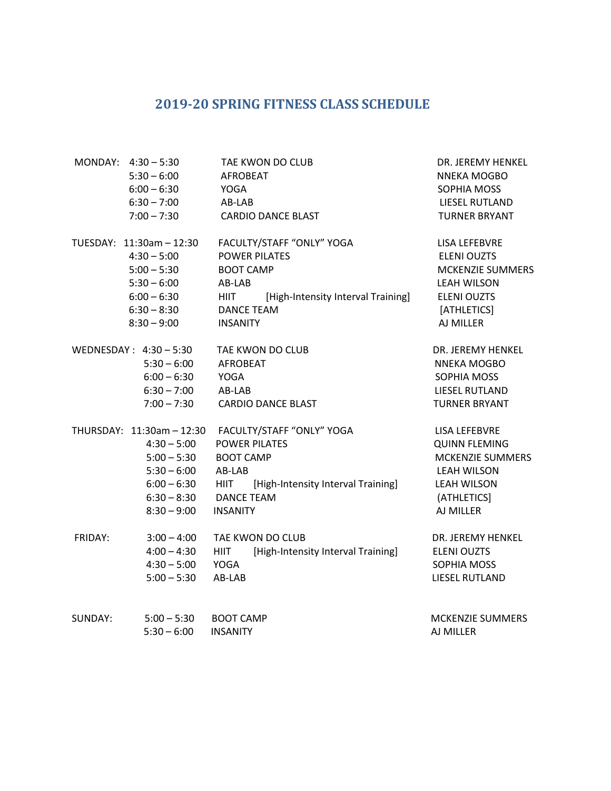## **2019-20 SPRING FITNESS CLASS SCHEDULE**

|         | MONDAY: 4:30 - 5:30       | TAE KWON DO CLUB                                  | DR. JEREMY HENKEL    |
|---------|---------------------------|---------------------------------------------------|----------------------|
|         | $5:30 - 6:00$             | <b>AFROBEAT</b>                                   | NNEKA MOGBO          |
|         | $6:00 - 6:30$             | YOGA                                              | SOPHIA MOSS          |
|         | $6:30 - 7:00$             | AB-LAB                                            | LIESEL RUTLAND       |
|         | $7:00 - 7:30$             | <b>CARDIO DANCE BLAST</b>                         | <b>TURNER BRYANT</b> |
|         | TUESDAY: 11:30am - 12:30  | FACULTY/STAFF "ONLY" YOGA                         | LISA LEFEBVRE        |
|         | $4:30 - 5:00$             | <b>POWER PILATES</b>                              | <b>ELENI OUZTS</b>   |
|         | $5:00 - 5:30$             | <b>BOOT CAMP</b>                                  | MCKENZIE SUMMERS     |
|         | $5:30 - 6:00$             | AB-LAB                                            | <b>LEAH WILSON</b>   |
|         | $6:00 - 6:30$             | [High-Intensity Interval Training]<br><b>HIIT</b> | ELENI OUZTS          |
|         | $6:30 - 8:30$             | <b>DANCE TEAM</b>                                 | [ATHLETICS]          |
|         | $8:30 - 9:00$             | <b>INSANITY</b>                                   | AJ MILLER            |
|         | WEDNESDAY: $4:30-5:30$    | TAE KWON DO CLUB                                  | DR. JEREMY HENKEL    |
|         | $5:30 - 6:00$             | <b>AFROBEAT</b>                                   | <b>NNEKA MOGBO</b>   |
|         | $6:00 - 6:30$             | <b>YOGA</b>                                       | SOPHIA MOSS          |
|         | $6:30 - 7:00$             | AB-LAB                                            | LIESEL RUTLAND       |
|         | $7:00 - 7:30$             | <b>CARDIO DANCE BLAST</b>                         | <b>TURNER BRYANT</b> |
|         | THURSDAY: 11:30am - 12:30 | FACULTY/STAFF "ONLY" YOGA                         | <b>LISA LEFEBVRE</b> |
|         | $4:30 - 5:00$             | <b>POWER PILATES</b>                              | <b>QUINN FLEMING</b> |
|         | $5:00 - 5:30$             | <b>BOOT CAMP</b>                                  | MCKENZIE SUMMERS     |
|         | $5:30 - 6:00$             | AB-LAB                                            | <b>LEAH WILSON</b>   |
|         | $6:00 - 6:30$             | HIIT [High-Intensity Interval Training]           | LEAH WILSON          |
|         | $6:30 - 8:30$             | <b>DANCE TEAM</b>                                 | (ATHLETICS)          |
|         | $8:30 - 9:00$             | <b>INSANITY</b>                                   | AJ MILLER            |
| FRIDAY: | $3:00 - 4:00$             | TAE KWON DO CLUB                                  | DR. JEREMY HENKEL    |
|         | $4:00 - 4:30$             | [High-Intensity Interval Training]<br><b>HIIT</b> | <b>ELENI OUZTS</b>   |
|         | $4:30 - 5:00$             | YOGA                                              | SOPHIA MOSS          |
|         | $5:00 - 5:30$             | AB-LAB                                            | LIESEL RUTLAND       |
| SUNDAY: | $5:00 - 5:30$             | <b>BOOT CAMP</b>                                  | MCKENZIE SUMMERS     |
|         | $5:30 - 6:00$             | <b>INSANITY</b>                                   | AJ MILLER            |
|         |                           |                                                   |                      |